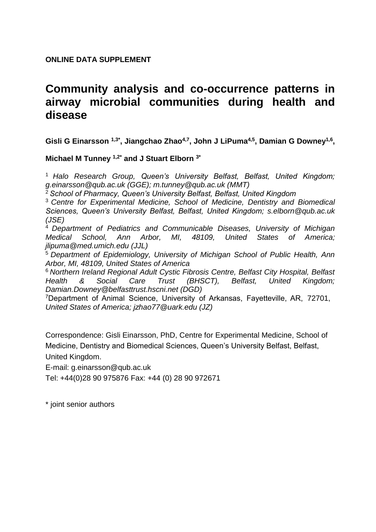# **ONLINE DATA SUPPLEMENT**

# **Community analysis and co-occurrence patterns in airway microbial communities during health and disease**

**Gisli G Einarsson 1,3\*, Jiangchao Zhao4,7, John J LiPuma4,5, Damian G Downey1,6 ,** 

**Michael M Tunney 1,2\* and J Stuart Elborn 3\***

<sup>1</sup> *Halo Research Group, Queen's University Belfast, Belfast, United Kingdom; g.einarsson@qub.ac.uk (GGE); m.tunney@qub.ac.uk (MMT)*

<sup>2</sup>*School of Pharmacy, Queen's University Belfast, Belfast, United Kingdom*

<sup>3</sup>*Centre for Experimental Medicine, School of Medicine, Dentistry and Biomedical Sciences, Queen's University Belfast, Belfast, United Kingdom; s.elborn@qub.ac.uk (JSE)*

<sup>4</sup> *Department of Pediatrics and Communicable Diseases, University of Michigan Medical School, Ann Arbor, MI, 48109, United States of America; jlipuma@med.umich.edu (JJL)*

<sup>5</sup> *Department of Epidemiology, University of Michigan School of Public Health, Ann Arbor, MI, 48109, United States of America*

<sup>6</sup> *Northern Ireland Regional Adult Cystic Fibrosis Centre, Belfast City Hospital, Belfast Health & Social Care Trust (BHSCT), Belfast, United Kingdom; Damian.Downey@belfasttrust.hscni.net (DGD)*

<sup>7</sup>Department of Animal Science, University of Arkansas, Fayetteville, AR, 72701, *United States of America; jzhao77@uark.edu (JZ)*

Correspondence: Gisli Einarsson, PhD, Centre for Experimental Medicine, School of Medicine, Dentistry and Biomedical Sciences, Queen's University Belfast, Belfast, United Kingdom.

E-mail: g.einarsson@qub.ac.uk

Tel: +44(0)28 90 975876 Fax: +44 (0) 28 90 972671

\* joint senior authors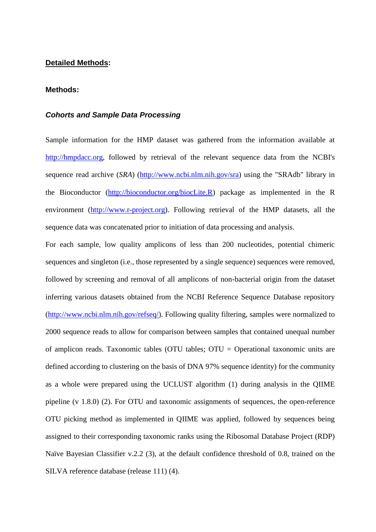### **Detailed Methods:**

#### **Methods:**

### *Cohorts and Sample Data Processing*

Sample information for the HMP dataset was gathered from the information available at [http://hmpdacc.org,](http://hmpdacc.org/) followed by retrieval of the relevant sequence data from the NCBI's sequence read archive (*SRA*) [\(http://www.ncbi.nlm.nih.gov/sra\)](http://www.ncbi.nlm.nih.gov/sra) using the "SRAdb" library in the Bioconductor [\(http://bioconductor.org/biocLite.R\)](http://bioconductor.org/biocLite.R) package as implemented in the R environment [\(http://www.r-project.org\)](http://www.r-project.org/). Following retrieval of the HMP datasets, all the sequence data was concatenated prior to initiation of data processing and analysis.

For each sample, low quality amplicons of less than 200 nucleotides, potential chimeric sequences and singleton (i.e., those represented by a single sequence) sequences were removed, followed by screening and removal of all amplicons of non-bacterial origin from the dataset inferring various datasets obtained from the NCBI Reference Sequence Database repository [\(http://www.ncbi.nlm.nih.gov/refseq/\)](http://www.ncbi.nlm.nih.gov/refseq/). Following quality filtering, samples were normalized to 2000 sequence reads to allow for comparison between samples that contained unequal number of amplicon reads. Taxonomic tables (OTU tables; OTU = Operational taxonomic units are defined according to clustering on the basis of DNA 97% sequence identity) for the community as a whole were prepared using the UCLUST algorithm [\(1\)](#page-8-0) during analysis in the QIIME pipeline (v 1.8.0) [\(2\)](#page-8-1). For OTU and taxonomic assignments of sequences, the open-reference OTU picking method as implemented in QIIME was applied, followed by sequences being assigned to their corresponding taxonomic ranks using the Ribosomal Database Project (RDP) Naïve Bayesian Classifier v.2.2 [\(3\)](#page-8-2), at the default confidence threshold of 0.8, trained on the SILVA reference database (release 111) [\(4\)](#page-8-3).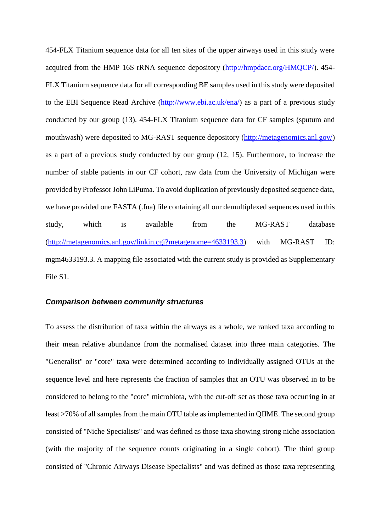454-FLX Titanium sequence data for all ten sites of the upper airways used in this study were acquired from the HMP 16S rRNA sequence depository [\(http://hmpdacc.org/HMQCP/\)](http://hmpdacc.org/HMQCP/). 454- FLX Titanium sequence data for all corresponding BE samples used in this study were deposited to the EBI Sequence Read Archive [\(http://www.ebi.ac.uk/ena/\)](http://www.ebi.ac.uk/ena/) as a part of a previous study conducted by our group (13). 454-FLX Titanium sequence data for CF samples (sputum and mouthwash) were deposited to MG-RAST sequence depository [\(http://metagenomics.anl.gov/\)](http://metagenomics.anl.gov/) as a part of a previous study conducted by our group (12, 15). Furthermore, to increase the number of stable patients in our CF cohort, raw data from the University of Michigan were provided by Professor John LiPuma. To avoid duplication of previously deposited sequence data, we have provided one FASTA (.fna) file containing all our demultiplexed sequences used in this study, which is available from the MG-RAST database [\(http://metagenomics.anl.gov/linkin.cgi?metagenome=4633193.3\)](http://metagenomics.anl.gov/linkin.cgi?metagenome=4633193.3) with MG-RAST ID: mgm4633193.3. A mapping file associated with the current study is provided as Supplementary File S1.

#### *Comparison between community structures*

To assess the distribution of taxa within the airways as a whole, we ranked taxa according to their mean relative abundance from the normalised dataset into three main categories. The "Generalist" or "core" taxa were determined according to individually assigned OTUs at the sequence level and here represents the fraction of samples that an OTU was observed in to be considered to belong to the "core" microbiota, with the cut-off set as those taxa occurring in at least >70% of all samples from the main OTU table as implemented in QIIME. The second group consisted of "Niche Specialists" and was defined as those taxa showing strong niche association (with the majority of the sequence counts originating in a single cohort). The third group consisted of "Chronic Airways Disease Specialists" and was defined as those taxa representing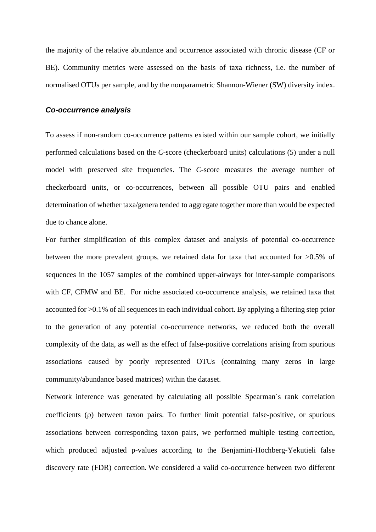the majority of the relative abundance and occurrence associated with chronic disease (CF or BE). Community metrics were assessed on the basis of taxa richness, i.e. the number of normalised OTUs per sample, and by the nonparametric Shannon-Wiener (SW) diversity index.

#### *Co-occurrence analysis*

To assess if non-random co-occurrence patterns existed within our sample cohort, we initially performed calculations based on the *C*-score (checkerboard units) calculations [\(5\)](#page-8-4) under a null model with preserved site frequencies. The *C*-score measures the average number of checkerboard units, or co-occurrences, between all possible OTU pairs and enabled determination of whether taxa/genera tended to aggregate together more than would be expected due to chance alone.

For further simplification of this complex dataset and analysis of potential co-occurrence between the more prevalent groups, we retained data for taxa that accounted for >0.5% of sequences in the 1057 samples of the combined upper-airways for inter-sample comparisons with CF, CFMW and BE. For niche associated co-occurrence analysis, we retained taxa that accounted for >0.1% of all sequences in each individual cohort. By applying a filtering step prior to the generation of any potential co-occurrence networks, we reduced both the overall complexity of the data, as well as the effect of false-positive correlations arising from spurious associations caused by poorly represented OTUs (containing many zeros in large community/abundance based matrices) within the dataset.

Network inference was generated by calculating all possible Spearman´s rank correlation coefficients  $(\rho)$  between taxon pairs. To further limit potential false-positive, or spurious associations between corresponding taxon pairs, we performed multiple testing correction, which produced adjusted p-values according to the Benjamini-Hochberg-Yekutieli false discovery rate (FDR) correction. We considered a valid co-occurrence between two different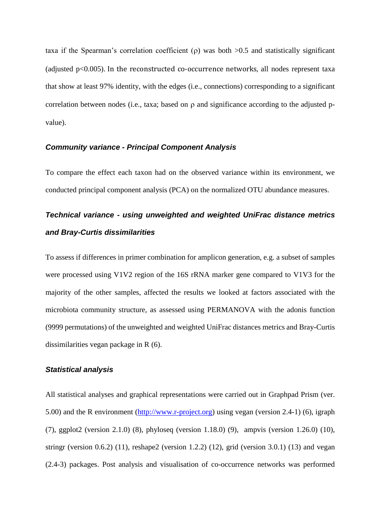taxa if the Spearman's correlation coefficient ( $\rho$ ) was both  $>0.5$  and statistically significant (adjusted  $p<0.005$ ). In the reconstructed co-occurrence networks, all nodes represent taxa that show at least 97% identity, with the edges (i.e., connections) corresponding to a significant correlation between nodes (i.e., taxa; based on  $\rho$  and significance according to the adjusted pvalue).

#### *Community variance - Principal Component Analysis*

To compare the effect each taxon had on the observed variance within its environment, we conducted principal component analysis (PCA) on the normalized OTU abundance measures.

# *Technical variance - using unweighted and weighted UniFrac distance metrics and Bray-Curtis dissimilarities*

To assess if differences in primer combination for amplicon generation, e.g. a subset of samples were processed using V1V2 region of the 16S rRNA marker gene compared to V1V3 for the majority of the other samples, affected the results we looked at factors associated with the microbiota community structure, as assessed using PERMANOVA with the adonis function (9999 permutations) of the unweighted and weighted UniFrac distances metrics and Bray-Curtis dissimilarities vegan package in R [\(6\)](#page-8-5).

## *Statistical analysis*

All statistical analyses and graphical representations were carried out in Graphpad Prism (ver. 5.00) and the R environment [\(http://www.r-project.org\)](http://www.r-project.org/) using vegan (version 2.4-1) [\(6\)](#page-8-5), igraph [\(7\)](#page-8-6), ggplot2 (version 2.1.0) [\(8\)](#page-8-7), phyloseq (version 1.18.0) [\(9\)](#page-8-8), ampvis (version 1.26.0) [\(10\)](#page-8-9), stringr (version 0.6.2) [\(11\)](#page-8-10), reshape2 (version 1.2.2) [\(12\)](#page-8-11), grid (version 3.0.1) [\(13\)](#page-8-12) and vegan (2.4-3) packages. Post analysis and visualisation of co-occurrence networks was performed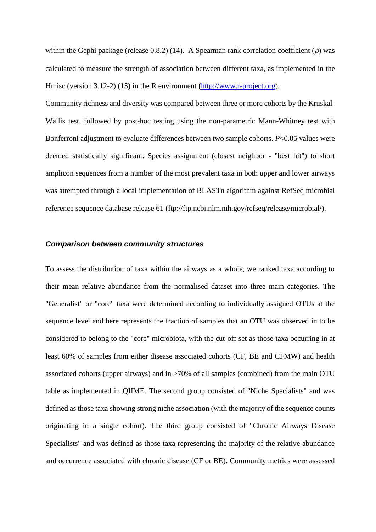within the Gephi package (release 0.8.2) [\(14\)](#page-8-13). A Spearman rank correlation coefficient  $(\rho)$  was calculated to measure the strength of association between different taxa, as implemented in the Hmisc (version 3.12-2) [\(15\)](#page-8-14) in the R environment [\(http://www.r-project.org\)](http://www.r-project.org/).

Community richness and diversity was compared between three or more cohorts by the Kruskal-Wallis test, followed by post-hoc testing using the non-parametric Mann-Whitney test with Bonferroni adjustment to evaluate differences between two sample cohorts. *P*<0.05 values were deemed statistically significant. Species assignment (closest neighbor - "best hit") to short amplicon sequences from a number of the most prevalent taxa in both upper and lower airways was attempted through a local implementation of BLASTn algorithm against RefSeq microbial reference sequence database release 61 (ftp://ftp.ncbi.nlm.nih.gov/refseq/release/microbial/).

## *Comparison between community structures*

To assess the distribution of taxa within the airways as a whole, we ranked taxa according to their mean relative abundance from the normalised dataset into three main categories. The "Generalist" or "core" taxa were determined according to individually assigned OTUs at the sequence level and here represents the fraction of samples that an OTU was observed in to be considered to belong to the "core" microbiota, with the cut-off set as those taxa occurring in at least 60% of samples from either disease associated cohorts (CF, BE and CFMW) and health associated cohorts (upper airways) and in >70% of all samples (combined) from the main OTU table as implemented in QIIME. The second group consisted of "Niche Specialists" and was defined as those taxa showing strong niche association (with the majority of the sequence counts originating in a single cohort). The third group consisted of "Chronic Airways Disease Specialists" and was defined as those taxa representing the majority of the relative abundance and occurrence associated with chronic disease (CF or BE). Community metrics were assessed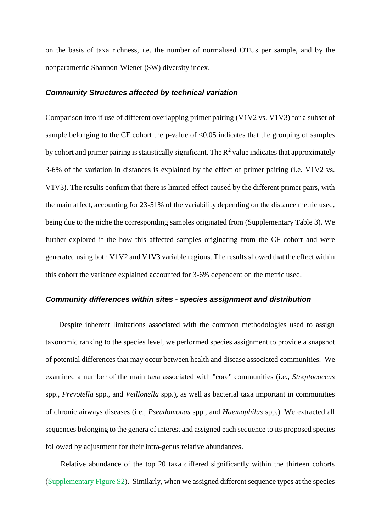on the basis of taxa richness, i.e. the number of normalised OTUs per sample, and by the nonparametric Shannon-Wiener (SW) diversity index.

#### *Community Structures affected by technical variation*

Comparison into if use of different overlapping primer pairing (V1V2 vs. V1V3) for a subset of sample belonging to the CF cohort the p-value of  $\langle 0.05 \rangle$  indicates that the grouping of samples by cohort and primer pairing is statistically significant. The  $R^2$  value indicates that approximately 3-6% of the variation in distances is explained by the effect of primer pairing (i.e. V1V2 vs. V1V3). The results confirm that there is limited effect caused by the different primer pairs, with the main affect, accounting for 23-51% of the variability depending on the distance metric used, being due to the niche the corresponding samples originated from (Supplementary Table 3). We further explored if the how this affected samples originating from the CF cohort and were generated using both V1V2 and V1V3 variable regions. The results showed that the effect within this cohort the variance explained accounted for 3-6% dependent on the metric used.

#### *Community differences within sites - species assignment and distribution*

Despite inherent limitations associated with the common methodologies used to assign taxonomic ranking to the species level, we performed species assignment to provide a snapshot of potential differences that may occur between health and disease associated communities. We examined a number of the main taxa associated with "core" communities (i.e., *Streptococcus* spp., *Prevotella* spp., and *Veillonella* spp.), as well as bacterial taxa important in communities of chronic airways diseases (i.e., *Pseudomonas* spp., and *Haemophilus* spp.). We extracted all sequences belonging to the genera of interest and assigned each sequence to its proposed species followed by adjustment for their intra-genus relative abundances.

Relative abundance of the top 20 taxa differed significantly within the thirteen cohorts (Supplementary Figure S2). Similarly, when we assigned different sequence types at the species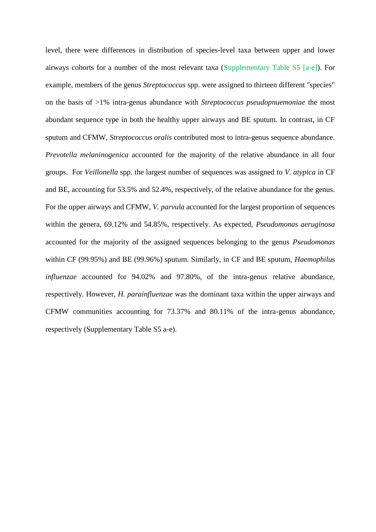level, there were differences in distribution of species-level taxa between upper and lower airways cohorts for a number of the most relevant taxa (Supplementary Table S5 [a-e]). For example, members of the genus *Streptococcus* spp. were assigned to thirteen different "species" on the basis of >1% intra-genus abundance with *Streptococcus pseudopnuemoniae* the most abundant sequence type in both the healthy upper airways and BE sputum. In contrast, in CF sputum and CFMW, *Streptococcus oralis* contributed most to intra-genus sequence abundance. *Prevotella melaninogenica* accounted for the majority of the relative abundance in all four groups. For *Veillonella* spp. the largest number of sequences was assigned to *V. atypica* in CF and BE, accounting for 53.5% and 52.4%, respectively, of the relative abundance for the genus. For the upper airways and CFMW, *V. parvula* accounted for the largest proportion of sequences within the genera, 69.12% and 54.85%, respectively. As expected, *Pseudomonas aeruginosa* accounted for the majority of the assigned sequences belonging to the genus *Pseudomonas* within CF (99.95%) and BE (99.96%) sputum. Similarly, in CF and BE sputum, *Haemophilus influenzae* accounted for 94.02% and 97.80%, of the intra-genus relative abundance, respectively. However, *H. parainfluenzae* was the dominant taxa within the upper airways and CFMW communities accounting for 73.37% and 80.11% of the intra-genus abundance, respectively (Supplementary Table S5 a-e).